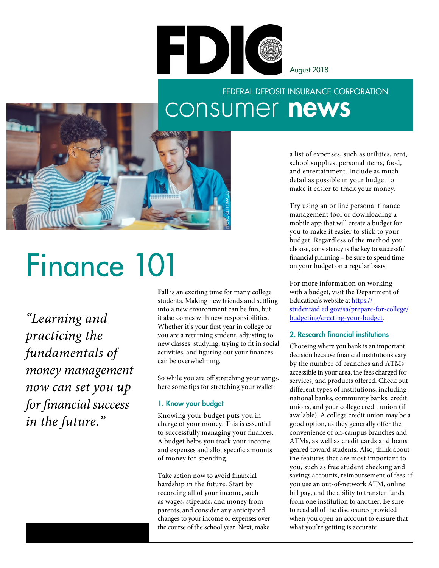

August 2018

# FEDERAL DEPOSIT INSURANCE CORPORATION consumer news



a list of expenses, such as utilities, rent, school supplies, personal items, food, and entertainment. Include as much detail as possible in your budget to make it easier to track your money.

Try using an online personal finance management tool or downloading a mobile app that will create a budget for you to make it easier to stick to your budget. Regardless of the method you choose, consistency is the key to successful fnancial planning – be sure to spend time on your budget on a regular basis.

For more information on working with a budget, visit the Department of Education's website at https:// [studentaid.ed.gov/sa/prepare-for-college/](https://studentaid.ed.gov/sa/prepare-for-college/budgeting/creating-your-budget) budgeting/creating-your-budget.

#### 2. Research financial institutions

Choosing where you bank is an important decision because financial institutions vary by the number of branches and ATMs accessible in your area, the fees charged for services, and products offered. Check out different types of institutions, including national banks, community banks, credit unions, and your college credit union (if available). A college credit union may be a good option, as they generally offer the convenience of on-campus branches and ATMs, as well as credit cards and loans geared toward students. Also, think about the features that are most important to you, such as free student checking and savings accounts, reimbursement of fees if you use an out-of-network ATM, online bill pay, and the ability to transfer funds from one institution to another. Be sure to read all of the disclosures provided when you open an account to ensure that what you're getting is accurate

# Finance 101

*"Learning and practicing the fundamentals of money management now can set you up for fnancial success in the future."* 

**F**all is an exciting time for many college students. Making new friends and settling into a new environment can be fun, but it also comes with new responsibilities. Whether it's your frst year in college or you are a returning student, adjusting to new classes, studying, trying to ft in social activities, and fguring out your fnances can be overwhelming.

So while you are off stretching your wings, here some tips for stretching your wallet:

#### 1. Know your budget

Knowing your budget puts you in charge of your money. This is essential to successfully managing your fnances. A budget helps you track your income and expenses and allot specifc amounts of money for spending.

the course of the school year. Next, make Take action now to avoid fnancial hardship in the future. Start by recording all of your income, such as wages, stipends, and money from parents, and consider any anticipated changes to your income or expenses over